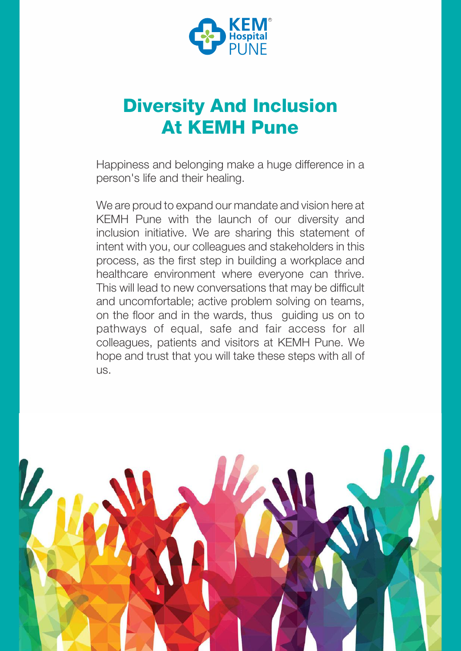

# Diversity And Inclusion At KEMH Pune

Happiness and belonging make a huge difference in a person's life and their healing.

We are proud to expand our mandate and vision here at KEMH Pune with the launch of our diversity and inclusion initiative. We are sharing this statement of intent with you, our colleagues and stakeholders in this process, as the first step in building a workplace and healthcare environment where everyone can thrive. This will lead to new conversations that may be difficult and uncomfortable; active problem solving on teams, on the floor and in the wards, thus guiding us on to pathways of equal, safe and fair access for all colleagues, patients and visitors at KEMH Pune. We hope and trust that you will take these steps with all of us.

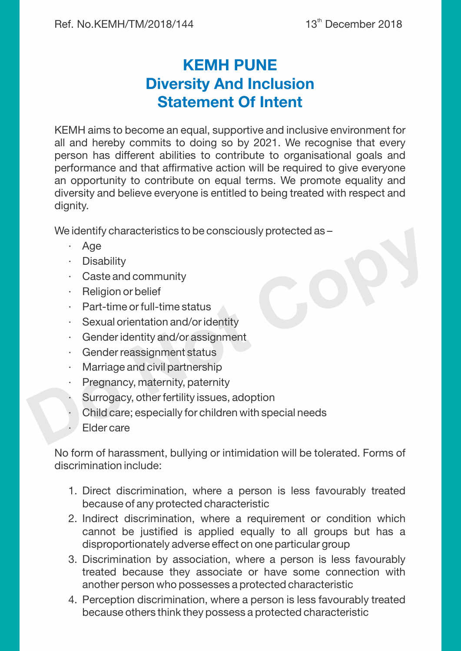# KEMH PUNE Diversity And Inclusion Statement Of Intent

KEMH aims to become an equal, supportive and inclusive environment for all and hereby commits to doing so by 2021. We recognise that every person has different abilities to contribute to organisational goals and performance and that affirmative action will be required to give everyone an opportunity to contribute on equal terms. We promote equality and diversity and believe everyone is entitled to being treated with respect and

dignity. We identify characteristics to be consciously protected as –

- · Age
- · Disability
- · Caste and community
- · Religion or belief
- · Part-time or full-time status
- · Sexual orientation and/or identity
- · Gender identity and/or assignment
- · Gender reassignment status
- · Marriage and civil partnership
- Pregnancy, maternity, paternity
- Surrogacy, other fertility issues, adoption
- We identify characteristics to be consciously protected as<br>
Age<br>
Disability<br>
Caste and community<br>
Religion or belief<br>
Part-time or full-time status<br>
Sexual orientation and/or identity<br>
Gender reassignment<br>
 Child care; especially for children with special needs
	- · Elder care

No form of harassment, bullying or intimidation will be tolerated. Forms of discrimination include:

- 1. Direct discrimination, where a person is less favourably treated because of any protected characteristic
- 2. Indirect discrimination, where a requirement or condition which cannot be justified is applied equally to all groups but has a disproportionately adverse effect on one particular group
- 3. Discrimination by association, where a person is less favourably treated because they associate or have some connection with another person who possesses a protected characteristic
- 4. Perception discrimination, where a person is less favourably treated because others think they possess a protected characteristic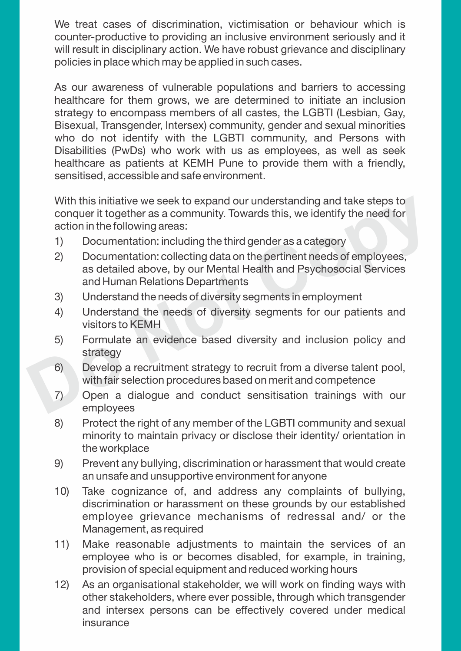counter-productive to providing an inclusive environment seriously and it will result in disciplinary action. We have robust grievance and disciplinary policies in place which may be applied in such cases.

We treat cases of discrimination, victimisation or behaviour which is<br>counter-productive to providing an inclusive environment seriously and it<br>will result in disciplinary action. We have robust grievance and disciplinary<br> As our awareness of vulnerable populations and barriers to accessing healthcare for them grows, we are determined to initiate an inclusion strategy to encompass members of all castes, the LGBTI (Lesbian, Gay, Bisexual, Transgender, Intersex) community, gender and sexual minorities who do not identify with the LGBTI community, and Persons with Disabilities (PwDs) who work with us as employees, as well as seek healthcare as patients at KEMH Pune to provide them with a friendly, sensitised, accessible and safe environment.

With this initiative we seek to expand our understanding and take steps to conquer it together as a community. Towards this, we identify the need for action in the following areas:

- 1) Documentation: including the third gender as a category
- 2) Documentation: collecting data on the pertinent needs of employees, as detailed above, by our Mental Health and Psychosocial Services and Human Relations Departments
- 3) Understand the needs of diversity segments in employment
- 4) Understand the needs of diversity segments for our patients and visitors to KEMH
- 5) Formulate an evidence based diversity and inclusion policy and strategy
- 6) Develop a recruitment strategy to recruit from a diverse talent pool, with fair selection procedures based on merit and competence
- 7) Open a dialogue and conduct sensitisation trainings with our employees
- 8) Protect the right of any member of the LGBTI community and sexual minority to maintain privacy or disclose their identity/ orientation in the workplace
- 9) Prevent any bullying, discrimination or harassment that would create an unsafe and unsupportive environment for anyone
- 10) Take cognizance of, and address any complaints of bullying, discrimination or harassment on these grounds by our established employee grievance mechanisms of redressal and/ or the Management, as required
- 11) Make reasonable adjustments to maintain the services of an employee who is or becomes disabled, for example, in training, provision of special equipment and reduced working hours
- 12) As an organisational stakeholder, we will work on finding ways with other stakeholders, where ever possible, through which transgender and intersex persons can be effectively covered under medical insurance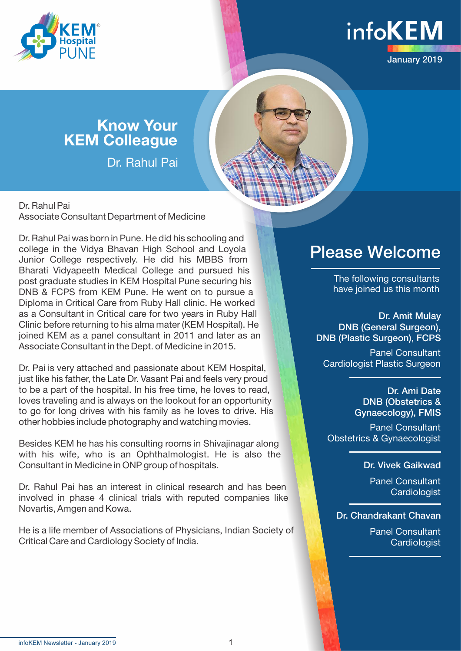



# Know Your KEM Colleague

Dr. Rahul Pai

Dr. Rahul Pai Associate Consultant Department of Medicine

Dr. Rahul Pai was born in Pune. He did his schooling and college in the Vidya Bhavan High School and Loyola Junior College respectively. He did his MBBS from Bharati Vidyapeeth Medical College and pursued his post graduate studies in KEM Hospital Pune securing his DNB & FCPS from KEM Pune. He went on to pursue a Diploma in Critical Care from Ruby Hall clinic. He worked as a Consultant in Critical care for two years in Ruby Hall Clinic before returning to his alma mater (KEM Hospital). He joined KEM as a panel consultant in 2011 and later as an Associate Consultant in the Dept. of Medicine in 2015.

Dr. Pai is very attached and passionate about KEM Hospital, just like his father, the Late Dr. Vasant Pai and feels very proud to be a part of the hospital. In his free time, he loves to read, loves traveling and is always on the lookout for an opportunity to go for long drives with his family as he loves to drive. His other hobbies include photography and watching movies.

Besides KEM he has his consulting rooms in Shivajinagar along with his wife, who is an Ophthalmologist. He is also the Consultant in Medicine in ONP group of hospitals.

Dr. Rahul Pai has an interest in clinical research and has been involved in phase 4 clinical trials with reputed companies like Novartis, Amgen and Kowa.

He is a life member of Associations of Physicians, Indian Society of Critical Care and Cardiology Society of India.

# Please Welcome

The following consultants have joined us this month

Dr. Amit Mulay DNB (General Surgeon), DNB (Plastic Surgeon), FCPS

Panel Consultant Cardiologist Plastic Surgeon

> Dr. Ami Date DNB (Obstetrics & Gynaecology), FMIS

Panel Consultant Obstetrics & Gynaecologist

## Dr. Vivek Gaikwad

Panel Consultant **Cardiologist** 

Dr. Chandrakant Chavan

Panel Consultant **Cardiologist**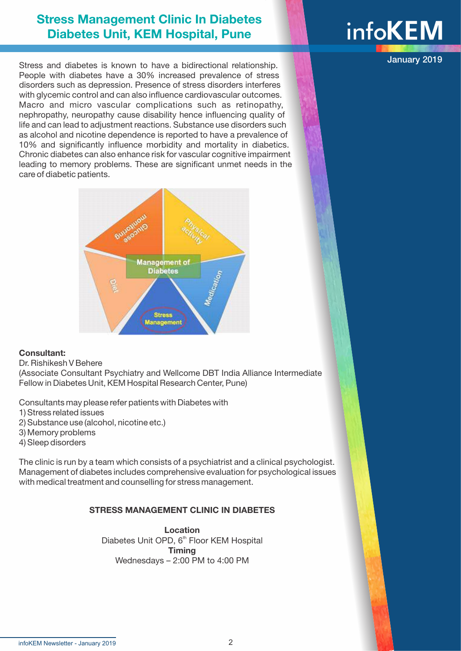# **info** Stress Management Clinic In Diabetes<br>Diabetes Unit, KEM Hospital, Pune **Info**

Stress and diabetes is known to have a bidirectional relationship. People with diabetes have a 30% increased prevalence of stress disorders such as depression. Presence of stress disorders interferes with glycemic control and can also influence cardiovascular outcomes. Macro and micro vascular complications such as retinopathy, nephropathy, neuropathy cause disability hence influencing quality of life and can lead to adjustment reactions. Substance use disorders such as alcohol and nicotine dependence is reported to have a prevalence of 10% and significantly influence morbidity and mortality in diabetics. Chronic diabetes can also enhance risk for vascular cognitive impairment leading to memory problems. These are significant unmet needs in the care of diabetic patients.



### Consultant:

#### Dr. Rishikesh V Behere

(Associate Consultant Psychiatry and Wellcome DBT India Alliance Intermediate Fellow in Diabetes Unit, KEM Hospital Research Center, Pune)

Consultants may please refer patients with Diabetes with

- 1) Stress related issues
- 2) Substance use (alcohol, nicotine etc.)
- 3) Memory problems
- 4) Sleep disorders

The clinic is run by a team which consists of a psychiatrist and a clinical psychologist. Management of diabetes includes comprehensive evaluation for psychological issues with medical treatment and counselling for stress management.

### STRESS MANAGEMENT CLINIC IN DIABETES

Location Diabetes Unit OPD, 6<sup>th</sup> Floor KEM Hospital Timing Wednesdays – 2:00 PM to 4:00 PM

January 2019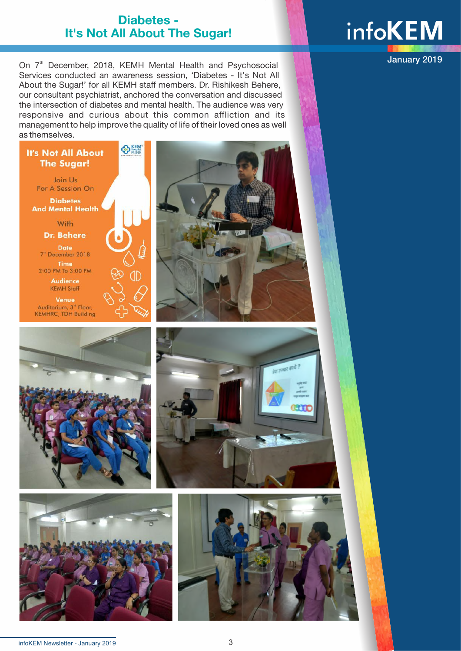## Diabetes - It's Not All About The Sugar!

**infoKEM** 

January 2019

On 7<sup>th</sup> December, 2018, KEMH Mental Health and Psychosocial Services conducted an awareness session, 'Diabetes - It's Not All About the Sugar!' for all KEMH staff members. Dr. Rishikesh Behere, our consultant psychiatrist, anchored the conversation and discussed the intersection of diabetes and mental health. The audience was very responsive and curious about this common affliction and its management to help improve the quality of life of their loved ones as well as themselves.

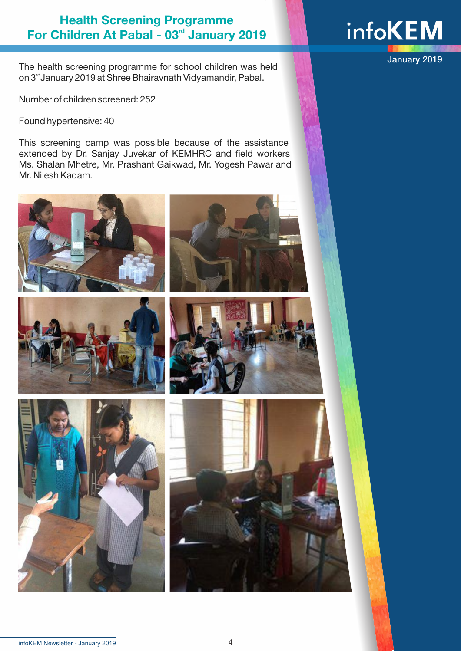# Health Screening Programme For Children At Pabal - 03<sup>rd</sup> January 2019

The health screening programme for school children was held on 3<sup>rd</sup> January 2019 at Shree Bhairavnath Vidyamandir, Pabal.

Number of children screened: 252

Found hypertensive: 40

This screening camp was possible because of the assistance extended by Dr. Sanjay Juvekar of KEMHRC and field workers Ms. Shalan Mhetre, Mr. Prashant Gaikwad, Mr. Yogesh Pawar and Mr. Nilesh Kadam.















January 2019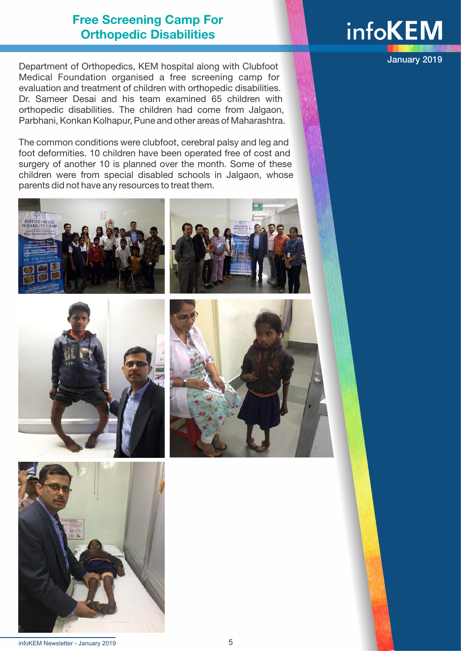# Free Screening Camp For Orthopedic Disabilities

Department of Orthopedics, KEM hospital along with Clubfoot Medical Foundation organised a free screening camp for evaluation and treatment of children with orthopedic disabilities. Dr. Sameer Desai and his team examined 65 children with orthopedic disabilities. The children had come from Jalgaon, Parbhani, Konkan Kolhapur, Pune and other areas of Maharashtra.

The common conditions were clubfoot, cerebral palsy and leg and foot deformities. 10 children have been operated free of cost and surgery of another 10 is planned over the month. Some of these children were from special disabled schools in Jalgaon, whose parents did not have any resources to treat them.













January 2019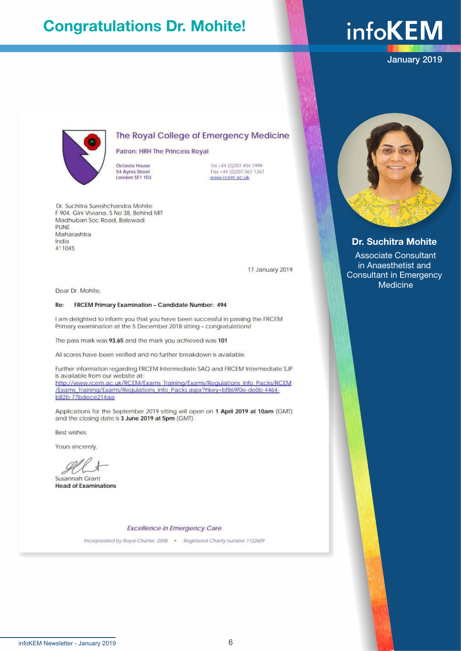# Congratulations Dr. Mohite!

# **infoKEM**

January 2019



#### The Royal College of Emergency Medicine

Patron: HRH The Princess Royal

Octavia House **54 Ayres Street** London SE1 1EU

Tel +44 (0)207 404 1999 Fax +44 (0)207 067 1267 www.rcem.ac.uk

Dr. Suchitra Sureshchandra Mohite F 904, Gini Viviana, S No 38, Behind MIT Madhuban Soc Road, Balewadi PUNE Maharashtra India 411045

17 January 2019

Dear Dr. Mohite.

#### FRCEM Primary Examination - Candidate Number: 494 Re:

I am delighted to inform you that you have been successful in passing the FRCEM Primary examination at the 5 December 2018 sitting - congratulations!

The pass mark was 93.65 and the mark you achieved was 101

All scores have been verified and no further breakdown is available.

Further information regarding FRCEM Intermediate SAQ and FRCEM Intermediate SJP is available from our website at: http://www.rcem.ac.uk/RCEM/Exams Training/Exams/Regulations Info Packs/RCEM /Exams\_Training/Exams/Regulations\_Info\_Packs.aspx?hkey=bf869f0e-de0b-4464b82b-77bdece214aa

Applications for the September 2019 sitting will open on 1 April 2019 at 10am (GMT) and the closing date is 3 June 2019 at 5pm (GMT).

Best wishes.

Yours sincerely.

Susannah Grant **Head of Examinations** 

**Excellence in Emergency Care** 

Incorporated by Royal Charter, 2008 . Registered Charity number 1122689



#### Dr. Suchitra Mohite

 Associate Consultant in Anaesthetist and Consultant in Emergency Medicine